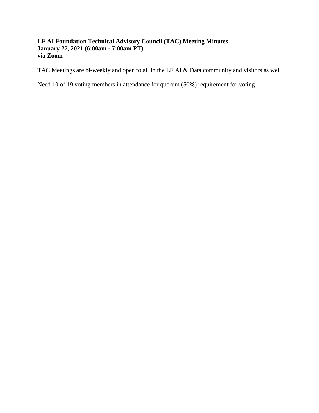#### **LF AI Foundation Technical Advisory Council (TAC) Meeting Minutes January 27, 2021 (6:00am - 7:00am PT) via Zoom**

TAC Meetings are bi-weekly and open to all in the LF AI & Data community and visitors as well

Need 10 of 19 voting members in attendance for quorum (50%) requirement for voting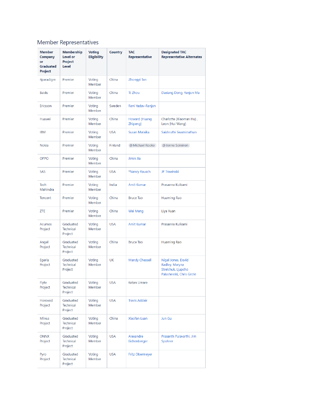# Member Representatives

| <b>Member</b><br>Company<br>or<br>Graduated<br>Project | <b>Membership</b><br>Level or<br>Project<br>Level | <b>Voting</b><br><b>Eligibility</b> | Country        | <b>TAC</b><br>Representative | <b>Designated TAC</b><br><b>Representative Alternates</b>                              |
|--------------------------------------------------------|---------------------------------------------------|-------------------------------------|----------------|------------------------------|----------------------------------------------------------------------------------------|
| 4paradigm                                              | Premier                                           | Voting<br><b>Member</b>             | China          | Zhongyi Tan                  |                                                                                        |
| <b>Baidu</b>                                           | Premier                                           | Voting<br><b>Member</b>             | China          | Ti Zhou                      | Daxiang Dong, Yanjun Ma                                                                |
| Ericsson                                               | Premier                                           | Voting<br><b>Member</b>             | Sweden         | Rani Yadav-Ranjan            |                                                                                        |
| Huawei                                                 | Premier                                           | Voting<br>Member                    | China          | Howard (Huang<br>Zhipeng)    | Charlotte (Xiaoman Hu),<br>Leon (Hui Wang)                                             |
| <b>IBM</b>                                             | Premier                                           | Voting<br><b>Member</b>             | <b>USA</b>     | Susan Malaika                | Saishruthi Swaminathan                                                                 |
| <b>Nokia</b>                                           | Premier                                           | Voting<br><b>Member</b>             | <b>Finland</b> | @ Michael Rooke              | @ Jonne Soininen                                                                       |
| <b>OPPO</b>                                            | Premier                                           | Voting<br><b>Member</b>             | China          | Jimin Jia                    |                                                                                        |
| <b>SAS</b>                                             | Premier                                           | Voting<br><b>Member</b>             | <b>USA</b>     | *Nancy Rausch                | JP Trawinski                                                                           |
| Tech<br>Mahindra                                       | Premier                                           | Voting<br>Member                    | India          | <b>Amit Kumar</b>            | Prasanna Kulkarni                                                                      |
| Tencent                                                | Premier                                           | Voting<br><b>Member</b>             | China          | <b>Bruce Tao</b>             | Huaming Rao                                                                            |
| ZTE                                                    | Premier                                           | Voting<br><b>Member</b>             | China          | Wei Meng                     | Liya Yuan                                                                              |
| <b>Acumos</b><br>Project                               | Graduated<br><b>Technical</b><br>Project          | Voting<br><b>Member</b>             | <b>USA</b>     | <b>Amit Kumar</b>            | Prasanna Kulkarni                                                                      |
| Angel<br>Project                                       | Graduated<br><b>Technical</b><br>Project          | Voting<br><b>Member</b>             | China          | <b>Bruce Tao</b>             | Huaming Rao                                                                            |
| Egeria<br>Project                                      | Graduated<br><b>Technical</b><br>Project          | Voting<br><b>Member</b>             | <b>UK</b>      | <b>Mandy Chessell</b>        | Nigel Jones, David<br>Radley, Maryna<br>Strelchuk, Ljupcho<br>Palashevski, Chris Grote |
| Flyte<br>Project                                       | Graduated<br><b>Technical</b><br>Project          | Voting<br><b>Member</b>             | <b>USA</b>     | Ketan Umare                  |                                                                                        |
| Horovod<br>Project                                     | Graduated<br><b>Technical</b><br>Project          | Voting<br><b>Member</b>             | <b>USA</b>     | <b>Travis Addair</b>         |                                                                                        |
| Milvus<br>Project                                      | Graduated<br><b>Technical</b><br>Project          | Voting<br>Member                    | China          | <b>Xiaofan Luan</b>          | Jun Gu                                                                                 |
| <b>ONNX</b><br>Project                                 | Graduated<br><b>Technical</b><br>Project          | Voting<br><b>Member</b>             | <b>USA</b>     | Alexandre<br>Eichenberger    | Prasanth Pulavarthi, Jim<br>Spohrer                                                    |
| Pyro<br>Project                                        | Graduated<br>Technical<br>Project                 | Voting<br><b>Member</b>             | <b>USA</b>     | Fritz Obermeyer              |                                                                                        |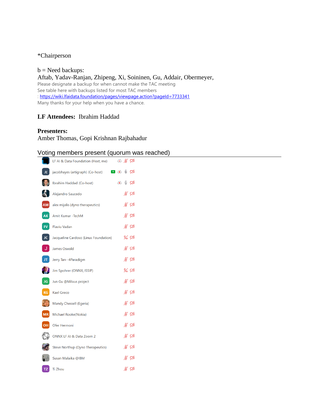#### \*Chairperson

 $b$  = Need backups: Aftab, Yadav-Ranjan, Zhipeng, Xi, Soininen, Gu, Addair, Obermeyer, Please designate a backup for when cannot make the TAC meeting See table here with backups listed for most TAC members :<https://wiki.lfaidata.foundation/pages/viewpage.action?pageId=7733341> Many thanks for your help when you have a chance.

#### **LF Attendees:** Ibrahim Haddad

#### **Presenters:**

Amber Thomas, Gopi Krishnan Rajbahadur

### Voting members present (quorum was reached)

|           | LF AI & Data Foundation (Host, me)    | $\circ$ % $\varnothing$        |
|-----------|---------------------------------------|--------------------------------|
| JC.       | jacobhayes (artigraph) (Co-host)      | Ô<br>$\bullet$ $\bullet$<br>∞  |
|           | Ibrahim Haddad (Co-host)              | $\mathbb{Q}$ $\mathbb{Z}$<br>⊙ |
|           | Alejandro Saucedo                     | ∦ ⊄                            |
| AM        | alex mijalis (dyno therapeutics)      | ∦ ⊄                            |
| <b>AK</b> | Amit Kumar - TechM                    | ∦ ⊄                            |
| <b>FV</b> | <b>Flaviu Vadan</b>                   | ∦ ⊄                            |
| JC        | Jacqueline Cardoso (Linux Foundation) | $\%$ $\%$                      |
| U.        | <b>James Oswald</b>                   | ∦ ⊄                            |
| JT.       | Jerry Tan--4Paradigm                  | $\frac{1}{2}$ $\frac{1}{2}$    |
|           | Jim Spohrer (ONNX, ISSIP)             | $\%$ $\%$                      |
| JG        | Jun Gu @Milvus project                | ∦ ⊄                            |
| KG        | <b>Kael Greco</b>                     | ∦ ⊄                            |
|           | Mandy Chessell (Egeria)               | ∦ ⊄                            |
| MR        | Michael Rooke(Nokia)                  | ∦ ಗ≱                           |
| OH        | Ofer Hermoni                          | ∦ ⊄                            |
|           | ONNX LF AI & Data Zoom 2              | ∦ ⊄                            |
|           | Steve Northup (Dyno Therapeutics)     | ∦ ⊄                            |
|           | Susan Malaika @IBM                    | ∦ ⊄                            |
| TZ.       | <b>Ti Zhou</b>                        | ∦ ⊄                            |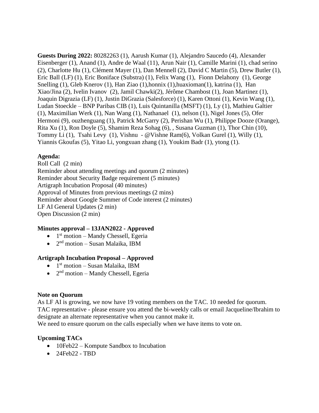**Guests During 2022:** 80282263 (1), Aarush Kumar (1), Alejandro Saucedo (4), Alexander Eisenberger (1), Anand (1), Andre de Waal (11), Arun Nair (1), Camille Marini (1), chad serino (2), Charlotte Hu (1), Clément Mayer (1), Dan Mennell (2), David C Martin (5), Drew Butler (1), Eric Ball (LF) (1), Eric Boniface (Substra) (1), Felix Wang (1), Fionn Delahony (1), George Snelling (1), Gleb Knerov (1), Han Ziao (1), honnix (1), huaxioman(1), katrina (1), Han Xiao/Jina (2), Ivelin Ivanov (2), Jamil Chawki(2), Jérôme Chambost (1), Joan Martinez (1), Joaquin Digrazia (LF) (1), Justin DiGrazia (Salesforce) (1), Karen Ottoni (1), Kevin Wang (1), Ludan Stoeckle – BNP Paribas CIB (1), Luis Quintanilla (MSFT) (1), Ly (1), Mathieu Galtier (1), Maximilian Werk (1), Nan Wang (1), Nathanael (1), nelson (1), Nigel Jones (5), Ofer Hermoni (9), ouzhenguang (1), Patrick McGarry (2), Perishan Wu (1), Philippe Dooze (Orange), Rita Xu (1), Ron Doyle (5), Shamim Reza Sohag (6), , Susana Guzman (1), Thor Chin (10), Tommy Li (1), Tsahi Levy (1), Vishnu - @Vishne Ram(6), Volkan Gurel (1), Willy (1), Yiannis Gkoufas (5), Yitao Li, yongxuan zhang (1), Youkim Badr (1), ytong (1).

#### **Agenda:**

Roll Call (2 min) Reminder about attending meetings and quorum (2 minutes) Reminder about Security Badge requirement (5 minutes) Artigraph Incubation Proposal (40 minutes) Approval of Minutes from previous meetings (2 mins) Reminder about Google Summer of Code interest (2 minutes) LF AI General Updates (2 min) Open Discussion (2 min)

#### **Minutes approval – 13JAN2022 - Approved**

- $\bullet$  1<sup>st</sup> motion Mandy Chessell, Egeria
- $\bullet$  2<sup>nd</sup> motion Susan Malaika, IBM

## **Artigraph Incubation Proposal – Approved**

- $\bullet$  1<sup>st</sup> motion Susan Malaika, IBM
- $2<sup>nd</sup>$  motion Mandy Chessell, Egeria

#### **Note on Quorum**

As LF AI is growing, we now have 19 voting members on the TAC. 10 needed for quorum. TAC representative - please ensure you attend the bi-weekly calls or email Jacqueline/Ibrahim to designate an alternate representative when you cannot make it.

We need to ensure quorum on the calls especially when we have items to vote on.

#### **Upcoming TACs**

- 10Feb22 Kompute Sandbox to Incubation
- 24Feb22 TBD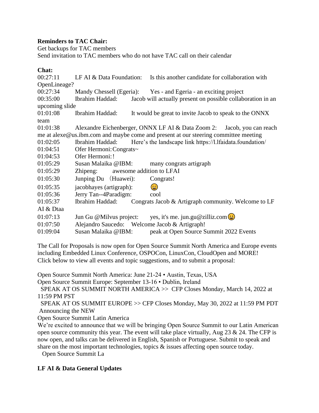#### **Reminders to TAC Chair:**

Get backups for TAC members

Send invitation to TAC members who do not have TAC call on their calendar

#### **Chat:**

00:27:11 LF AI & Data Foundation: Is this another candidate for collaboration with OpenLineage? 00:27:34 Mandy Chessell (Egeria): Yes - and Egeria - an exciting project 00:35:00 Ibrahim Haddad: Jacob will actually present on possible collaboration in an upcoming slide 01:01:08 Ibrahim Haddad: It would be great to invite Jacob to speak to the ONNX team 01:01:38 Alexandre Eichenberger, ONNX LF AI & Data Zoom 2: Jacob, you can reach me at alexe@us.ibm.com and maybe come and present at our steering committee meeting 01:02:05 Ibrahim Haddad: Here's the landscape link https://l.lfaidata.foundation/ 01:04:51 Ofer Hermoni: Congrats~ 01:04:53 Ofer Hermoni:! 01:05:29 Susan Malaika @IBM: many congrats artigraph 01:05:29 Zhipeng: awesome addition to LFAI 01:05:30 Junping Du (Huawei): Congrats! 01:05:35 jacobhayes (artigraph): 01:05:36 Jerry Tan--4Paradigm: cool 01:05:37 Ibrahim Haddad: Congrats Jacob & Artigraph community. Welcome to LF AI & Dtaa 01:07:13 Jun Gu @Milvus project: yes, it's me. jun.gu@zilliz.com $\bigcirc$ 01:07:50 Alejandro Saucedo: Welcome Jacob & Artigraph! 01:09:04 Susan Malaika @IBM: peak at Open Source Summit 2022 Events

The Call for Proposals is now open for Open Source Summit North America and Europe events including Embedded Linux Conference, OSPOCon, LinuxCon, CloudOpen and MORE! Click below to view all events and topic suggestions, and to submit a proposal:

Open Source Summit North America: June 21-24 • Austin, Texas, USA

Open Source Summit Europe: September 13-16 • Dublin, Ireland

 SPEAK AT OS SUMMIT NORTH AMERICA >> CFP Closes Monday, March 14, 2022 at 11:59 PM PST

 SPEAK AT OS SUMMIT EUROPE >> CFP Closes Monday, May 30, 2022 at 11:59 PM PDT Announcing the NEW

Open Source Summit Latin America

We're excited to announce that we will be bringing Open Source Summit to our Latin American open source community this year. The event will take place virtually, Aug  $23 \& 24$ . The CFP is now open, and talks can be delivered in English, Spanish or Portuguese. Submit to speak and share on the most important technologies, topics & issues affecting open source today.

Open Source Summit La

## **LF AI & Data General Updates**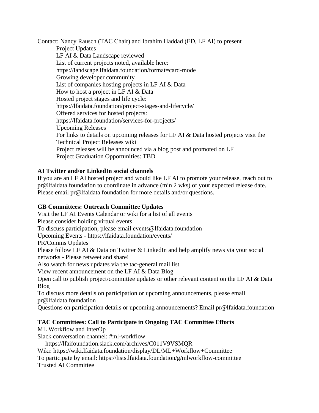Contact: Nancy Rausch (TAC Chair) and Ibrahim Haddad (ED, LF AI) to present

Project Updates LF AI & Data Landscape reviewed List of current projects noted, available here: https://landscape.lfaidata.foundation/format=card-mode Growing developer community List of companies hosting projects in LF AI & Data How to host a project in LF AI & Data Hosted project stages and life cycle: https://lfaidata.foundation/project-stages-and-lifecycle/ Offered services for hosted projects: https://lfaidata.foundation/services-for-projects/ Upcoming Releases For links to details on upcoming releases for LF AI & Data hosted projects visit the Technical Project Releases wiki Project releases will be announced via a blog post and promoted on LF Project Graduation Opportunities: TBD

## **AI Twitter and/or LinkedIn social channels**

If you are an LF AI hosted project and would like LF AI to promote your release, reach out to pr@lfaidata.foundation to coordinate in advance (min 2 wks) of your expected release date. Please email pr@lfaidata.foundation for more details and/or questions.

#### **GB Committees: Outreach Committee Updates**

Visit the LF AI Events Calendar or wiki for a list of all events Please consider holding virtual events To discuss participation, please email events@lfaidata.foundation Upcoming Events - https://lfaidata.foundation/events/ PR/Comms Updates Please follow LF AI & Data on Twitter & LinkedIn and help amplify news via your social networks - Please retweet and share! Also watch for news updates via the tac-general mail list View recent announcement on the LF AI & Data Blog Open call to publish project/committee updates or other relevant content on the LF AI & Data Blog To discuss more details on participation or upcoming announcements, please email pr@lfaidata.foundation

Questions on participation details or upcoming announcements? Email pr@lfaidata.foundation

#### **TAC Committees: Call to Participate in Ongoing TAC Committee Efforts**

ML Workflow and InterOp

Slack conversation channel: #ml-workflow

https://lfaifoundation.slack.com/archives/C011V9VSMQR

Wiki: https://wiki.lfaidata.foundation/display/DL/ML+Workflow+Committee

To participate by email: https://lists.lfaidata.foundation/g/mlworkflow-committee Trusted AI Committee